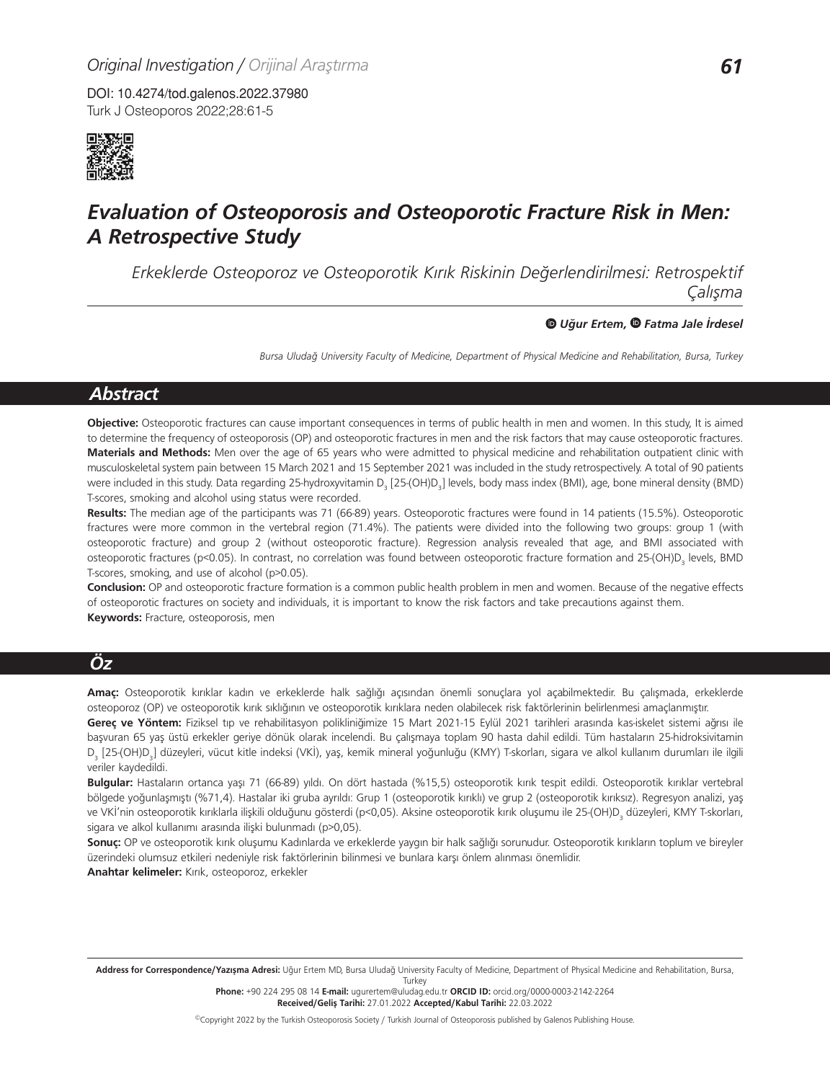Turk J Osteoporos 2022;28:61-5 DOI: 10.4274/tod.galenos.2022.37980



# *Evaluation of Osteoporosis and Osteoporotic Fracture Risk in Men: A Retrospective Study*

*Erkeklerde Osteoporoz ve Osteoporotik Kırık Riskinin Değerlendirilmesi: Retrospektif Çalışma*

#### *Uğur Ertem, Fatma Jale İrdesel*

*Bursa Uludağ University Faculty of Medicine, Department of Physical Medicine and Rehabilitation, Bursa, Turkey*

## *Abstract*

**Objective:** Osteoporotic fractures can cause important consequences in terms of public health in men and women. In this study, It is aimed to determine the frequency of osteoporosis (OP) and osteoporotic fractures in men and the risk factors that may cause osteoporotic fractures. **Materials and Methods:** Men over the age of 65 years who were admitted to physical medicine and rehabilitation outpatient clinic with musculoskeletal system pain between 15 March 2021 and 15 September 2021 was included in the study retrospectively. A total of 90 patients were included in this study. Data regarding 25-hydroxyvitamin D<sub>3</sub> [25-(OH)D<sub>3</sub>] levels, body mass index (BMI), age, bone mineral density (BMD) T-scores, smoking and alcohol using status were recorded.

**Results:** The median age of the participants was 71 (66-89) years. Osteoporotic fractures were found in 14 patients (15.5%). Osteoporotic fractures were more common in the vertebral region (71.4%). The patients were divided into the following two groups: group 1 (with osteoporotic fracture) and group 2 (without osteoporotic fracture). Regression analysis revealed that age, and BMI associated with osteoporotic fractures (p<0.05). In contrast, no correlation was found between osteoporotic fracture formation and 25-(OH)D<sub>3</sub> levels, BMD T-scores, smoking, and use of alcohol (p>0.05).

**Conclusion:** OP and osteoporotic fracture formation is a common public health problem in men and women. Because of the negative effects of osteoporotic fractures on society and individuals, it is important to know the risk factors and take precautions against them. **Keywords:** Fracture, osteoporosis, men

# *Öz*

**Amaç:** Osteoporotik kırıklar kadın ve erkeklerde halk sağlığı açısından önemli sonuçlara yol açabilmektedir. Bu çalışmada, erkeklerde osteoporoz (OP) ve osteoporotik kırık sıklığının ve osteoporotik kırıklara neden olabilecek risk faktörlerinin belirlenmesi amaçlanmıştır.

**Gereç ve Yöntem:** Fiziksel tıp ve rehabilitasyon polikliniğimize 15 Mart 2021-15 Eylül 2021 tarihleri arasında kas-iskelet sistemi ağrısı ile başvuran 65 yaş üstü erkekler geriye dönük olarak incelendi. Bu çalışmaya toplam 90 hasta dahil edildi. Tüm hastaların 25-hidroksivitamin D<sub>3</sub> [25-(OH)D<sub>3</sub>] düzeyleri, vücut kitle indeksi (VKİ), yaş, kemik mineral yoğunluğu (KMY) T-skorları, sigara ve alkol kullanım durumları ile ilgili veriler kaydedildi.

**Bulgular:** Hastaların ortanca yaşı 71 (66-89) yıldı. On dört hastada (%15,5) osteoporotik kırık tespit edildi. Osteoporotik kırıklar vertebral bölgede yoğunlaşmıştı (%71,4). Hastalar iki gruba ayrıldı: Grup 1 (osteoporotik kırıklı) ve grup 2 (osteoporotik kırıksız). Regresyon analizi, yaş ve VKİ'nin osteoporotik kırıklarla ilişkili olduğunu gösterdi (p<0,05). Aksine osteoporotik kırık oluşumu ile 25-(OH)D<sub>3</sub> düzeyleri, KMY T-skorları, sigara ve alkol kullanımı arasında ilişki bulunmadı (p>0,05).

**Sonuç:** OP ve osteoporotik kırık oluşumu Kadınlarda ve erkeklerde yaygın bir halk sağlığı sorunudur. Osteoporotik kırıkların toplum ve bireyler üzerindeki olumsuz etkileri nedeniyle risk faktörlerinin bilinmesi ve bunlara karşı önlem alınması önemlidir.

**Anahtar kelimeler:** Kırık, osteoporoz, erkekler

**Phone:** +90 224 295 08 14 **E-mail:** ugurertem@uludag.edu.tr **ORCID ID:** orcid.org/0000-0003-2142-2264 **Received/Geliş Tarihi:** 27.01.2022 **Accepted/Kabul Tarihi:** 22.03.2022

Address for Correspondence/Yazışma Adresi: Uğur Ertem MD, Bursa Uludağ University Faculty of Medicine, Department of Physical Medicine and Rehabilitation, Bursa, Turkey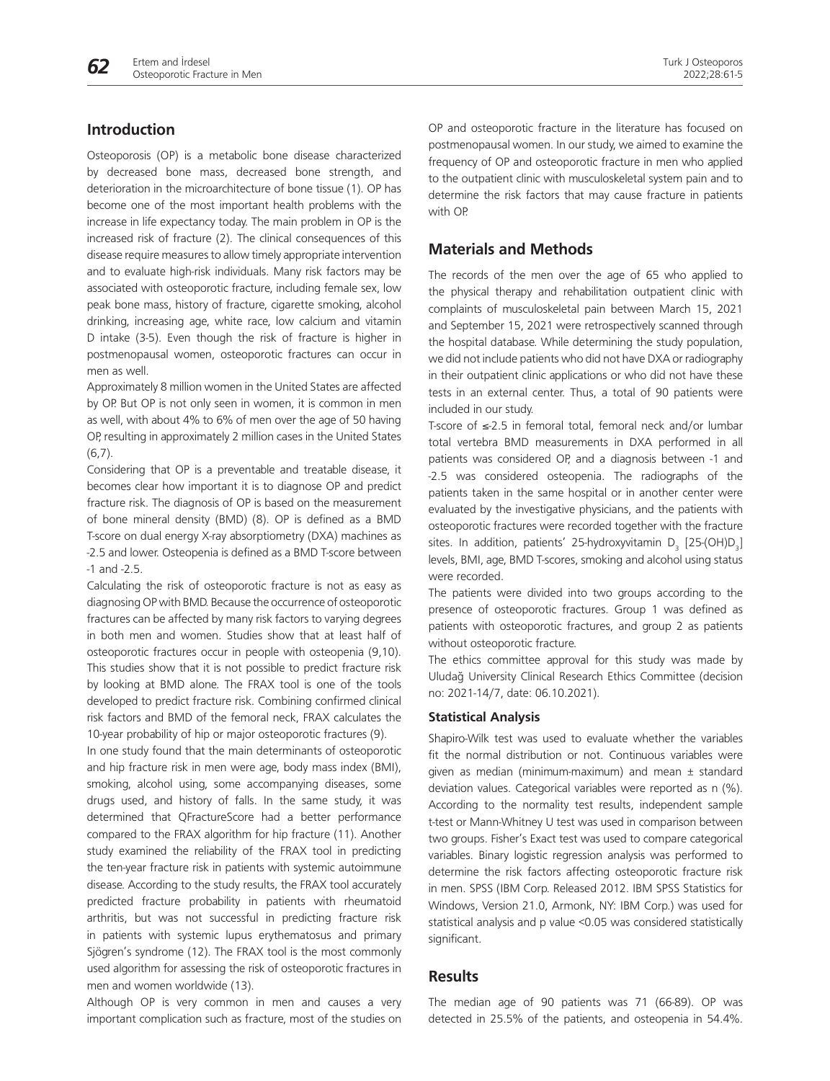

# **Introduction**

Osteoporosis (OP) is a metabolic bone disease characterized by decreased bone mass, decreased bone strength, and deterioration in the microarchitecture of bone tissue (1). OP has become one of the most important health problems with the increase in life expectancy today. The main problem in OP is the increased risk of fracture (2). The clinical consequences of this disease require measures to allow timely appropriate intervention and to evaluate high-risk individuals. Many risk factors may be associated with osteoporotic fracture, including female sex, low peak bone mass, history of fracture, cigarette smoking, alcohol drinking, increasing age, white race, low calcium and vitamin D intake (3-5). Even though the risk of fracture is higher in postmenopausal women, osteoporotic fractures can occur in men as well.

Approximately 8 million women in the United States are affected by OP. But OP is not only seen in women, it is common in men as well, with about 4% to 6% of men over the age of 50 having OP, resulting in approximately 2 million cases in the United States  $(6.7)$ .

Considering that OP is a preventable and treatable disease, it becomes clear how important it is to diagnose OP and predict fracture risk. The diagnosis of OP is based on the measurement of bone mineral density (BMD) (8). OP is defined as a BMD T-score on dual energy X-ray absorptiometry (DXA) machines as -2.5 and lower. Osteopenia is defined as a BMD T-score between -1 and -2.5.

Calculating the risk of osteoporotic fracture is not as easy as diagnosing OP with BMD. Because the occurrence of osteoporotic fractures can be affected by many risk factors to varying degrees in both men and women. Studies show that at least half of osteoporotic fractures occur in people with osteopenia (9,10). This studies show that it is not possible to predict fracture risk by looking at BMD alone. The FRAX tool is one of the tools developed to predict fracture risk. Combining confirmed clinical risk factors and BMD of the femoral neck, FRAX calculates the 10-year probability of hip or major osteoporotic fractures (9).

In one study found that the main determinants of osteoporotic and hip fracture risk in men were age, body mass index (BMI), smoking, alcohol using, some accompanying diseases, some drugs used, and history of falls. In the same study, it was determined that QFractureScore had a better performance compared to the FRAX algorithm for hip fracture (11). Another study examined the reliability of the FRAX tool in predicting the ten-year fracture risk in patients with systemic autoimmune disease. According to the study results, the FRAX tool accurately predicted fracture probability in patients with rheumatoid arthritis, but was not successful in predicting fracture risk in patients with systemic lupus erythematosus and primary Sjögren's syndrome (12). The FRAX tool is the most commonly used algorithm for assessing the risk of osteoporotic fractures in men and women worldwide (13).

Although OP is very common in men and causes a very important complication such as fracture, most of the studies on OP and osteoporotic fracture in the literature has focused on postmenopausal women. In our study, we aimed to examine the frequency of OP and osteoporotic fracture in men who applied to the outpatient clinic with musculoskeletal system pain and to determine the risk factors that may cause fracture in patients with OP.

## **Materials and Methods**

The records of the men over the age of 65 who applied to the physical therapy and rehabilitation outpatient clinic with complaints of musculoskeletal pain between March 15, 2021 and September 15, 2021 were retrospectively scanned through the hospital database. While determining the study population, we did not include patients who did not have DXA or radiography in their outpatient clinic applications or who did not have these tests in an external center. Thus, a total of 90 patients were included in our study.

T-score of ≤-2.5 in femoral total, femoral neck and/or lumbar total vertebra BMD measurements in DXA performed in all patients was considered OP, and a diagnosis between -1 and -2.5 was considered osteopenia. The radiographs of the patients taken in the same hospital or in another center were evaluated by the investigative physicians, and the patients with osteoporotic fractures were recorded together with the fracture sites. In addition, patients' 25-hydroxyvitamin  $D_3$  [25-(OH) $D_3$ ] levels, BMI, age, BMD T-scores, smoking and alcohol using status were recorded.

The patients were divided into two groups according to the presence of osteoporotic fractures. Group 1 was defined as patients with osteoporotic fractures, and group 2 as patients without osteoporotic fracture.

The ethics committee approval for this study was made by Uludağ University Clinical Research Ethics Committee (decision no: 2021-14/7, date: 06.10.2021).

#### **Statistical Analysis**

Shapiro-Wilk test was used to evaluate whether the variables fit the normal distribution or not. Continuous variables were given as median (minimum-maximum) and mean  $\pm$  standard deviation values. Categorical variables were reported as n (%). According to the normality test results, independent sample t-test or Mann-Whitney U test was used in comparison between two groups. Fisher's Exact test was used to compare categorical variables. Binary logistic regression analysis was performed to determine the risk factors affecting osteoporotic fracture risk in men. SPSS (IBM Corp. Released 2012. IBM SPSS Statistics for Windows, Version 21.0, Armonk, NY: IBM Corp.) was used for statistical analysis and p value <0.05 was considered statistically significant.

## **Results**

The median age of 90 patients was 71 (66-89). OP was detected in 25.5% of the patients, and osteopenia in 54.4%.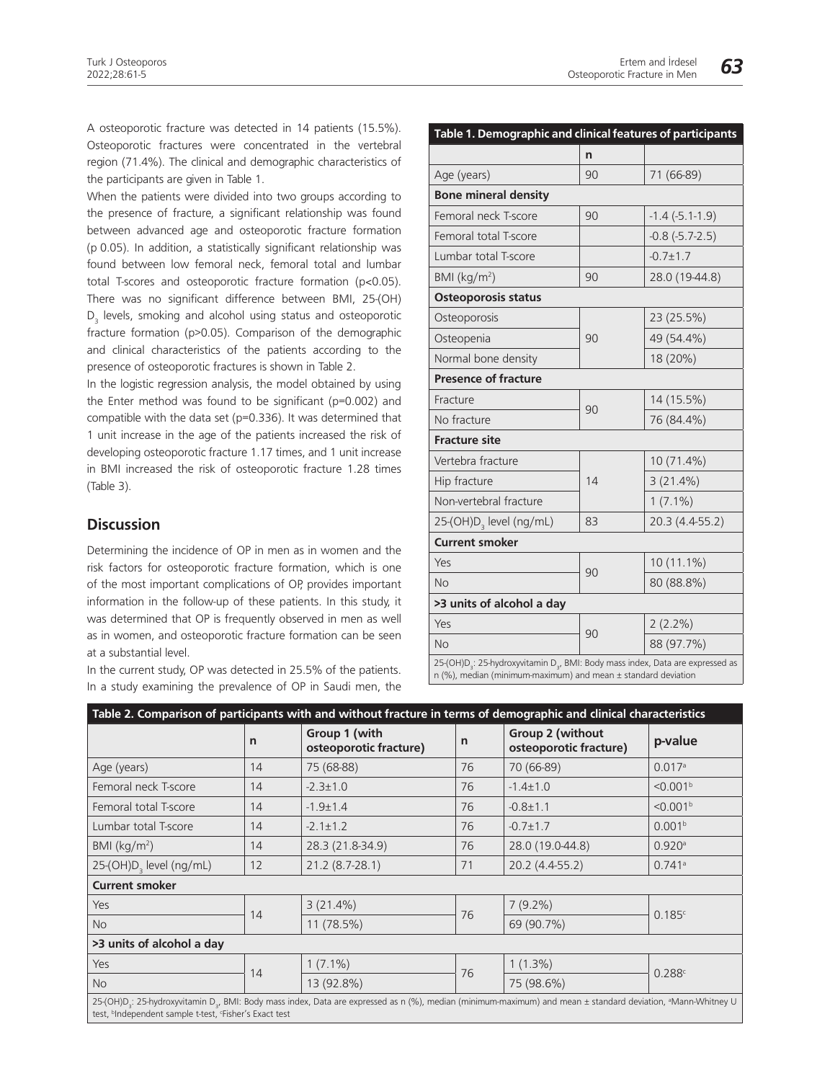A osteoporotic fracture was detected in 14 patients (15.5%). Osteoporotic fractures were concentrated in the vertebral region (71.4%). The clinical and demographic characteristics of the participants are given in Table 1.

When the patients were divided into two groups according to the presence of fracture, a significant relationship was found between advanced age and osteoporotic fracture formation (p 0.05). In addition, a statistically significant relationship was found between low femoral neck, femoral total and lumbar total T-scores and osteoporotic fracture formation (p˂0.05). There was no significant difference between BMI, 25-(OH) D<sub>3</sub> levels, smoking and alcohol using status and osteoporotic fracture formation (p>0.05). Comparison of the demographic and clinical characteristics of the patients according to the presence of osteoporotic fractures is shown in Table 2.

In the logistic regression analysis, the model obtained by using the Enter method was found to be significant (p=0.002) and compatible with the data set (p=0.336). It was determined that 1 unit increase in the age of the patients increased the risk of developing osteoporotic fracture 1.17 times, and 1 unit increase in BMI increased the risk of osteoporotic fracture 1.28 times (Table 3).

# **Discussion**

Determining the incidence of OP in men as in women and the risk factors for osteoporotic fracture formation, which is one of the most important complications of OP, provides important information in the follow-up of these patients. In this study, it was determined that OP is frequently observed in men as well as in women, and osteoporotic fracture formation can be seen at a substantial level.

In the current study, OP was detected in 25.5% of the patients. In a study examining the prevalence of OP in Saudi men, the

| Table 1. Demographic and clinical features of participants                                                                                                                    |    |                     |  |  |  |  |  |  |
|-------------------------------------------------------------------------------------------------------------------------------------------------------------------------------|----|---------------------|--|--|--|--|--|--|
|                                                                                                                                                                               | n  |                     |  |  |  |  |  |  |
| Age (years)                                                                                                                                                                   | 90 | 71 (66-89)          |  |  |  |  |  |  |
| <b>Bone mineral density</b>                                                                                                                                                   |    |                     |  |  |  |  |  |  |
| Femoral neck T-score                                                                                                                                                          | 90 | $-1.4$ $(-5.1-1.9)$ |  |  |  |  |  |  |
| Femoral total T-score                                                                                                                                                         |    | $-0.8(-5.7-2.5)$    |  |  |  |  |  |  |
| Lumbar total T-score                                                                                                                                                          |    | $-0.7 \pm 1.7$      |  |  |  |  |  |  |
| BMI $(kq/m2)$                                                                                                                                                                 | 90 | 28.0 (19-44.8)      |  |  |  |  |  |  |
| <b>Osteoporosis status</b>                                                                                                                                                    |    |                     |  |  |  |  |  |  |
| Osteoporosis                                                                                                                                                                  |    | 23 (25.5%)          |  |  |  |  |  |  |
| Osteopenia                                                                                                                                                                    | 90 | 49 (54.4%)          |  |  |  |  |  |  |
| Normal bone density                                                                                                                                                           |    | 18 (20%)            |  |  |  |  |  |  |
| <b>Presence of fracture</b>                                                                                                                                                   |    |                     |  |  |  |  |  |  |
| Fracture                                                                                                                                                                      | 90 | 14 (15.5%)          |  |  |  |  |  |  |
| No fracture                                                                                                                                                                   |    | 76 (84.4%)          |  |  |  |  |  |  |
| <b>Fracture site</b>                                                                                                                                                          |    |                     |  |  |  |  |  |  |
| Vertebra fracture                                                                                                                                                             |    | 10 (71.4%)          |  |  |  |  |  |  |
| Hip fracture                                                                                                                                                                  | 14 | $3(21.4\%)$         |  |  |  |  |  |  |
| Non-vertebral fracture                                                                                                                                                        |    | $1(7.1\%)$          |  |  |  |  |  |  |
| 25-(OH)D <sub>3</sub> level (ng/mL)                                                                                                                                           | 83 | 20.3 (4.4-55.2)     |  |  |  |  |  |  |
| <b>Current smoker</b>                                                                                                                                                         |    |                     |  |  |  |  |  |  |
| Yes                                                                                                                                                                           |    | 10 (11.1%)          |  |  |  |  |  |  |
| No                                                                                                                                                                            | 90 | 80 (88.8%)          |  |  |  |  |  |  |
| >3 units of alcohol a day                                                                                                                                                     |    |                     |  |  |  |  |  |  |
| Yes                                                                                                                                                                           |    | $2(2.2\%)$          |  |  |  |  |  |  |
| No                                                                                                                                                                            | 90 | 88 (97.7%)          |  |  |  |  |  |  |
| 25-(OH)D <sub>3</sub> : 25-hydroxyvitamin D <sub>3</sub> , BMI: Body mass index, Data are expressed as<br>$n$ (%), median (minimum-maximum) and mean $\pm$ standard deviation |    |                     |  |  |  |  |  |  |

| Table 2. Comparison of participants with and without fracture in terms of demographic and clinical characteristics                                                                                                                                                      |    |                                         |    |                                            |                      |  |  |  |
|-------------------------------------------------------------------------------------------------------------------------------------------------------------------------------------------------------------------------------------------------------------------------|----|-----------------------------------------|----|--------------------------------------------|----------------------|--|--|--|
|                                                                                                                                                                                                                                                                         | n  | Group 1 (with<br>osteoporotic fracture) | n  | Group 2 (without<br>osteoporotic fracture) | p-value              |  |  |  |
| Age (years)                                                                                                                                                                                                                                                             | 14 | 75 (68-88)                              | 76 | 70 (66-89)                                 | 0.017a               |  |  |  |
| Femoral neck T-score                                                                                                                                                                                                                                                    | 14 | $-2.3 \pm 1.0$                          | 76 | $-1.4 \pm 1.0$                             | < 0.001 <sup>b</sup> |  |  |  |
| Femoral total T-score                                                                                                                                                                                                                                                   | 14 | $-1.9 \pm 1.4$                          | 76 | $-0.8 \pm 1.1$                             | < 0.001 <sup>b</sup> |  |  |  |
| Lumbar total T-score                                                                                                                                                                                                                                                    | 14 | $-2.1 \pm 1.2$                          | 76 | $-0.7 \pm 1.7$                             | 0.001 <sup>b</sup>   |  |  |  |
| BMI $(kq/m2)$                                                                                                                                                                                                                                                           | 14 | 28.3 (21.8-34.9)                        | 76 | 28.0 (19.0-44.8)                           | 0.920a               |  |  |  |
| 25-(OH)D <sub>3</sub> level (ng/mL)                                                                                                                                                                                                                                     | 12 | 21.2 (8.7-28.1)                         | 71 | 20.2 (4.4-55.2)                            | 0.741a               |  |  |  |
| <b>Current smoker</b>                                                                                                                                                                                                                                                   |    |                                         |    |                                            |                      |  |  |  |
| Yes                                                                                                                                                                                                                                                                     |    | $3(21.4\%)$                             | 76 | $7(9.2\%)$                                 |                      |  |  |  |
| <b>No</b>                                                                                                                                                                                                                                                               | 14 | 11 (78.5%)                              |    | 69 (90.7%)                                 | 0.185c               |  |  |  |
| >3 units of alcohol a day                                                                                                                                                                                                                                               |    |                                         |    |                                            |                      |  |  |  |
| Yes                                                                                                                                                                                                                                                                     | 14 | $1(7.1\%)$                              | 76 | $1(1.3\%)$                                 | 0.288c               |  |  |  |
| <b>No</b>                                                                                                                                                                                                                                                               |    | 13 (92.8%)                              |    | 75 (98.6%)                                 |                      |  |  |  |
| 25-(OH)D <sub>2</sub> : 25-hydroxyvitamin D <sub>2</sub> , BMI: Body mass index, Data are expressed as n (%), median (minimum-maximum) and mean ± standard deviation, <sup>a</sup> Mann-Whitney U<br>test, <sup>b</sup> Independent sample t-test, 'Fisher's Exact test |    |                                         |    |                                            |                      |  |  |  |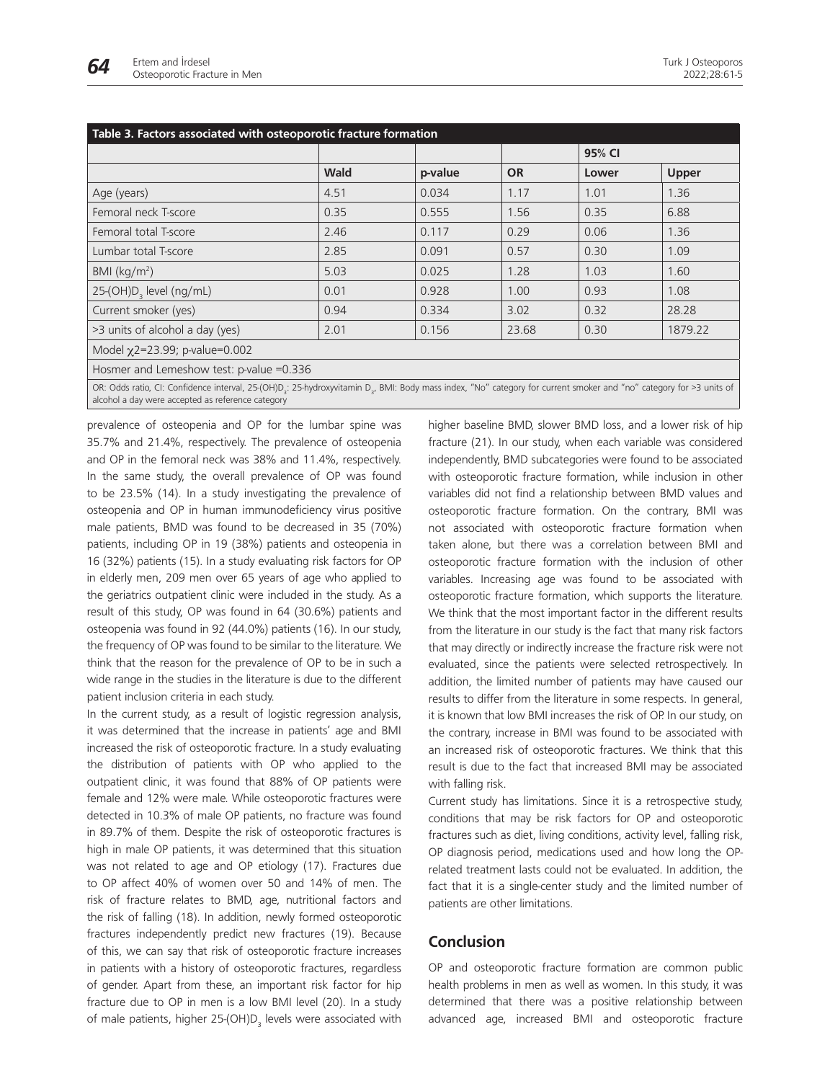

| Table 3. Factors associated with osteoporotic fracture formation                                                                                                                                                                                  |             |         |           |        |         |  |  |  |
|---------------------------------------------------------------------------------------------------------------------------------------------------------------------------------------------------------------------------------------------------|-------------|---------|-----------|--------|---------|--|--|--|
|                                                                                                                                                                                                                                                   |             |         |           | 95% CI |         |  |  |  |
|                                                                                                                                                                                                                                                   | <b>Wald</b> | p-value | <b>OR</b> | Lower  | Upper   |  |  |  |
| Age (years)                                                                                                                                                                                                                                       | 4.51        | 0.034   | 1.17      | 1.01   | 1.36    |  |  |  |
| Femoral neck T-score                                                                                                                                                                                                                              | 0.35        | 0.555   | 1.56      | 0.35   | 6.88    |  |  |  |
| Femoral total T-score                                                                                                                                                                                                                             | 2.46        | 0.117   | 0.29      | 0.06   | 1.36    |  |  |  |
| Lumbar total T-score                                                                                                                                                                                                                              | 2.85        | 0.091   | 0.57      | 0.30   | 1.09    |  |  |  |
| BMI $(kq/m2)$                                                                                                                                                                                                                                     | 5.03        | 0.025   | 1.28      | 1.03   | 1.60    |  |  |  |
| 25-(OH)D <sub>2</sub> level (ng/mL)                                                                                                                                                                                                               | 0.01        | 0.928   | 1.00      | 0.93   | 1.08    |  |  |  |
| Current smoker (yes)                                                                                                                                                                                                                              | 0.94        | 0.334   | 3.02      | 0.32   | 28.28   |  |  |  |
| >3 units of alcohol a day (yes)                                                                                                                                                                                                                   | 2.01        | 0.156   | 23.68     | 0.30   | 1879.22 |  |  |  |
| Model x2=23.99; p-value=0.002                                                                                                                                                                                                                     |             |         |           |        |         |  |  |  |
| Hosmer and Lemeshow test: p-value =0.336                                                                                                                                                                                                          |             |         |           |        |         |  |  |  |
| OR: Odds ratio, CI: Confidence interval, 25-(OH)D <sub>2</sub> : 25-hydroxyvitamin D <sub>2</sub> , BMI: Body mass index, "No" category for current smoker and "no" category for >3 units of<br>alcohol a day were accepted as reference category |             |         |           |        |         |  |  |  |

prevalence of osteopenia and OP for the lumbar spine was 35.7% and 21.4%, respectively. The prevalence of osteopenia and OP in the femoral neck was 38% and 11.4%, respectively. In the same study, the overall prevalence of OP was found to be 23.5% (14). In a study investigating the prevalence of osteopenia and OP in human immunodeficiency virus positive male patients, BMD was found to be decreased in 35 (70%) patients, including OP in 19 (38%) patients and osteopenia in 16 (32%) patients (15). In a study evaluating risk factors for OP in elderly men, 209 men over 65 years of age who applied to the geriatrics outpatient clinic were included in the study. As a result of this study, OP was found in 64 (30.6%) patients and osteopenia was found in 92 (44.0%) patients (16). In our study, the frequency of OP was found to be similar to the literature. We think that the reason for the prevalence of OP to be in such a wide range in the studies in the literature is due to the different patient inclusion criteria in each study.

In the current study, as a result of logistic regression analysis, it was determined that the increase in patients' age and BMI increased the risk of osteoporotic fracture. In a study evaluating the distribution of patients with OP who applied to the outpatient clinic, it was found that 88% of OP patients were female and 12% were male. While osteoporotic fractures were detected in 10.3% of male OP patients, no fracture was found in 89.7% of them. Despite the risk of osteoporotic fractures is high in male OP patients, it was determined that this situation was not related to age and OP etiology (17). Fractures due to OP affect 40% of women over 50 and 14% of men. The risk of fracture relates to BMD, age, nutritional factors and the risk of falling (18). In addition, newly formed osteoporotic fractures independently predict new fractures (19). Because of this, we can say that risk of osteoporotic fracture increases in patients with a history of osteoporotic fractures, regardless of gender. Apart from these, an important risk factor for hip fracture due to OP in men is a low BMI level (20). In a study of male patients, higher 25-(OH)D<sub>3</sub> levels were associated with higher baseline BMD, slower BMD loss, and a lower risk of hip fracture (21). In our study, when each variable was considered independently, BMD subcategories were found to be associated with osteoporotic fracture formation, while inclusion in other variables did not find a relationship between BMD values and osteoporotic fracture formation. On the contrary, BMI was not associated with osteoporotic fracture formation when taken alone, but there was a correlation between BMI and osteoporotic fracture formation with the inclusion of other variables. Increasing age was found to be associated with osteoporotic fracture formation, which supports the literature. We think that the most important factor in the different results from the literature in our study is the fact that many risk factors that may directly or indirectly increase the fracture risk were not evaluated, since the patients were selected retrospectively. In addition, the limited number of patients may have caused our results to differ from the literature in some respects. In general, it is known that low BMI increases the risk of OP. In our study, on the contrary, increase in BMI was found to be associated with an increased risk of osteoporotic fractures. We think that this result is due to the fact that increased BMI may be associated with falling risk.

Current study has limitations. Since it is a retrospective study, conditions that may be risk factors for OP and osteoporotic fractures such as diet, living conditions, activity level, falling risk, OP diagnosis period, medications used and how long the OPrelated treatment lasts could not be evaluated. In addition, the fact that it is a single-center study and the limited number of patients are other limitations.

## **Conclusion**

OP and osteoporotic fracture formation are common public health problems in men as well as women. In this study, it was determined that there was a positive relationship between advanced age, increased BMI and osteoporotic fracture